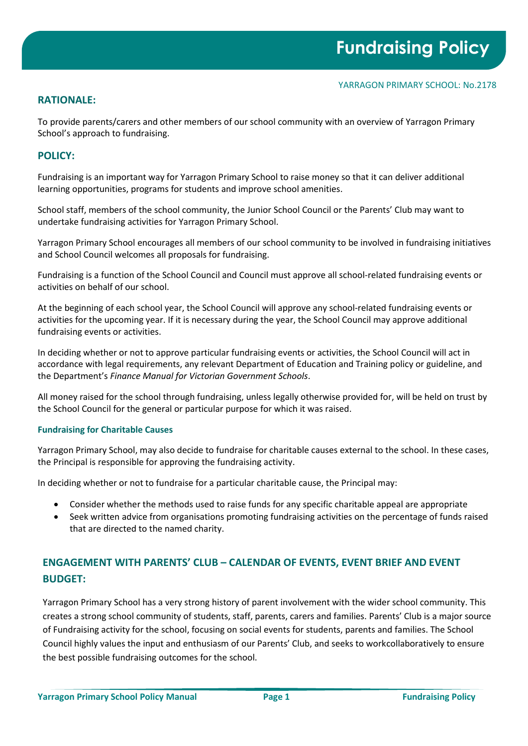## **RATIONALE:**

To provide parents/carers and other members of our school community with an overview of Yarragon Primary School's approach to fundraising.

# **POLICY:**

Fundraising is an important way for Yarragon Primary School to raise money so that it can deliver additional learning opportunities, programs for students and improve school amenities.

School staff, members of the school community, the Junior School Council or the Parents' Club may want to undertake fundraising activities for Yarragon Primary School.

Yarragon Primary School encourages all members of our school community to be involved in fundraising initiatives and School Council welcomes all proposals for fundraising.

Fundraising is a function of the School Council and Council must approve all school-related fundraising events or activities on behalf of our school.

At the beginning of each school year, the School Council will approve any school-related fundraising events or activities for the upcoming year. If it is necessary during the year, the School Council may approve additional fundraising events or activities.

In deciding whether or not to approve particular fundraising events or activities, the School Council will act in accordance with legal requirements, any relevant Department of Education and Training policy or guideline, and the Department's *Finance Manual for Victorian Government Schools*.

All money raised for the school through fundraising, unless legally otherwise provided for, will be held on trust by the School Council for the general or particular purpose for which it was raised.

## **Fundraising for Charitable Causes**

Yarragon Primary School, may also decide to fundraise for charitable causes external to the school. In these cases, the Principal is responsible for approving the fundraising activity.

In deciding whether or not to fundraise for a particular charitable cause, the Principal may:

- Consider whether the methods used to raise funds for any specific charitable appeal are appropriate
- Seek written advice from organisations promoting fundraising activities on the percentage of funds raised that are directed to the named charity.

# **ENGAGEMENT WITH PARENTS' CLUB – CALENDAR OF EVENTS, EVENT BRIEF AND EVENT BUDGET:**

Yarragon Primary School has a very strong history of parent involvement with the wider school community. This creates a strong school community of students, staff, parents, carers and families. Parents' Club is a major source of Fundraising activity for the school, focusing on social events for students, parents and families. The School Council highly values the input and enthusiasm of our Parents' Club, and seeks to workcollaboratively to ensure the best possible fundraising outcomes for the school.